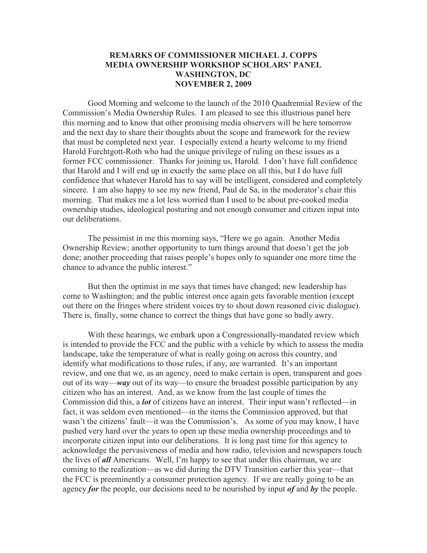## **REMARKS OF COMMISSIONER MICHAEL J. COPPS MEDIA OWNERSHIP WORKSHOP SCHOLARS' PANEL WASHINGTON, DC NOVEMBER 2, 2009**

Good Morning and welcome to the launch of the 2010 Quadrennial Review of the Commission's Media Ownership Rules. I am pleased to see this illustrious panel here this morning and to know that other promising media observers will be here tomorrow and the next day to share their thoughts about the scope and framework for the review that must be completed next year. I especially extend a hearty welcome to my friend Harold Furchtgott-Roth who had the unique privilege of ruling on these issues as a former FCC commissioner. Thanks for joining us, Harold. I don't have full confidence that Harold and I will end up in exactly the same place on all this, but I do have full confidence that whatever Harold has to say will be intelligent, considered and completely sincere. I am also happy to see my new friend, Paul de Sa, in the moderator's chair this morning. That makes me a lot less worried than I used to be about pre-cooked media ownership studies, ideological posturing and not enough consumer and citizen input into our deliberations.

The pessimist in me this morning says, "Here we go again. Another Media Ownership Review; another opportunity to turn things around that doesn't get the job done; another proceeding that raises people's hopes only to squander one more time the chance to advance the public interest."

But then the optimist in me says that times have changed; new leadership has come to Washington; and the public interest once again gets favorable mention (except out there on the fringes where strident voices try to shout down reasoned civic dialogue). There is, finally, some chance to correct the things that have gone so badly awry.

With these hearings, we embark upon a Congressionally-mandated review which is intended to provide the FCC and the public with a vehicle by which to assess the media landscape, take the temperature of what is really going on across this country, and identify what modifications to those rules, if any, are warranted. It's an important review, and one that we, as an agency, need to make certain is open, transparent and goes out of its way—*way* out of its way—to ensure the broadest possible participation by any citizen who has an interest. And, as we know from the last couple of times the Commission did this, a *lot* of citizens have an interest. Their input wasn't reflected—in fact, it was seldom even mentioned—in the items the Commission approved, but that wasn't the citizens' fault—it was the Commission's. As some of you may know, I have pushed very hard over the years to open up these media ownership proceedings and to incorporate citizen input into our deliberations. It is long past time for this agency to acknowledge the pervasiveness of media and how radio, television and newspapers touch the lives of *all* Americans. Well, I'm happy to see that under this chairman, we are coming to the realization—as we did during the DTV Transition earlier this year—that the FCC is preeminently a consumer protection agency. If we are really going to be an agency *for* the people, our decisions need to be nourished by input *of* and *by* the people.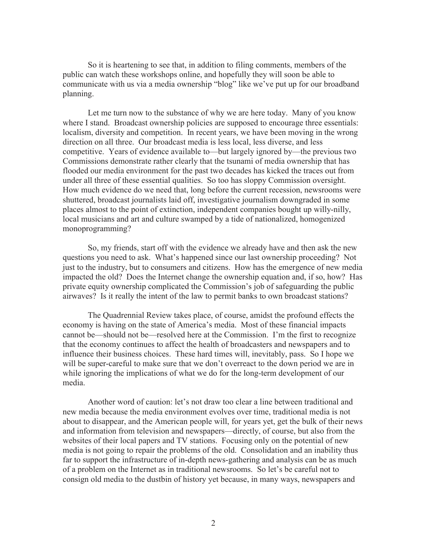So it is heartening to see that, in addition to filing comments, members of the public can watch these workshops online, and hopefully they will soon be able to communicate with us via a media ownership "blog" like we've put up for our broadband planning.

Let me turn now to the substance of why we are here today. Many of you know where I stand. Broadcast ownership policies are supposed to encourage three essentials: localism, diversity and competition. In recent years, we have been moving in the wrong direction on all three. Our broadcast media is less local, less diverse, and less competitive. Years of evidence available to—but largely ignored by—the previous two Commissions demonstrate rather clearly that the tsunami of media ownership that has flooded our media environment for the past two decades has kicked the traces out from under all three of these essential qualities. So too has sloppy Commission oversight. How much evidence do we need that, long before the current recession, newsrooms were shuttered, broadcast journalists laid off, investigative journalism downgraded in some places almost to the point of extinction, independent companies bought up willy-nilly, local musicians and art and culture swamped by a tide of nationalized, homogenized monoprogramming?

So, my friends, start off with the evidence we already have and then ask the new questions you need to ask. What's happened since our last ownership proceeding? Not just to the industry, but to consumers and citizens. How has the emergence of new media impacted the old? Does the Internet change the ownership equation and, if so, how? Has private equity ownership complicated the Commission's job of safeguarding the public airwaves? Is it really the intent of the law to permit banks to own broadcast stations?

The Quadrennial Review takes place, of course, amidst the profound effects the economy is having on the state of America's media. Most of these financial impacts cannot be—should not be—resolved here at the Commission. I'm the first to recognize that the economy continues to affect the health of broadcasters and newspapers and to influence their business choices. These hard times will, inevitably, pass. So I hope we will be super-careful to make sure that we don't overreact to the down period we are in while ignoring the implications of what we do for the long-term development of our media.

Another word of caution: let's not draw too clear a line between traditional and new media because the media environment evolves over time, traditional media is not about to disappear, and the American people will, for years yet, get the bulk of their news and information from television and newspapers—directly, of course, but also from the websites of their local papers and TV stations. Focusing only on the potential of new media is not going to repair the problems of the old. Consolidation and an inability thus far to support the infrastructure of in-depth news-gathering and analysis can be as much of a problem on the Internet as in traditional newsrooms. So let's be careful not to consign old media to the dustbin of history yet because, in many ways, newspapers and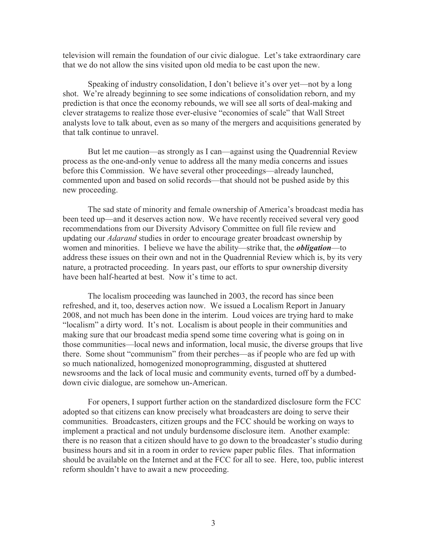television will remain the foundation of our civic dialogue. Let's take extraordinary care that we do not allow the sins visited upon old media to be cast upon the new.

Speaking of industry consolidation, I don't believe it's over yet—not by a long shot. We're already beginning to see some indications of consolidation reborn, and my prediction is that once the economy rebounds, we will see all sorts of deal-making and clever stratagems to realize those ever-elusive "economies of scale" that Wall Street analysts love to talk about, even as so many of the mergers and acquisitions generated by that talk continue to unravel.

But let me caution—as strongly as I can—against using the Quadrennial Review process as the one-and-only venue to address all the many media concerns and issues before this Commission. We have several other proceedings—already launched, commented upon and based on solid records—that should not be pushed aside by this new proceeding.

The sad state of minority and female ownership of America's broadcast media has been teed up—and it deserves action now. We have recently received several very good recommendations from our Diversity Advisory Committee on full file review and updating our *Adarand* studies in order to encourage greater broadcast ownership by women and minorities. I believe we have the ability—strike that, the *obligation*—to address these issues on their own and not in the Quadrennial Review which is, by its very nature, a protracted proceeding. In years past, our efforts to spur ownership diversity have been half-hearted at best. Now it's time to act.

The localism proceeding was launched in 2003, the record has since been refreshed, and it, too, deserves action now. We issued a Localism Report in January 2008, and not much has been done in the interim. Loud voices are trying hard to make "localism" a dirty word. It's not. Localism is about people in their communities and making sure that our broadcast media spend some time covering what is going on in those communities—local news and information, local music, the diverse groups that live there. Some shout "communism" from their perches—as if people who are fed up with so much nationalized, homogenized monoprogramming, disgusted at shuttered newsrooms and the lack of local music and community events, turned off by a dumbeddown civic dialogue, are somehow un-American.

For openers, I support further action on the standardized disclosure form the FCC adopted so that citizens can know precisely what broadcasters are doing to serve their communities. Broadcasters, citizen groups and the FCC should be working on ways to implement a practical and not unduly burdensome disclosure item. Another example: there is no reason that a citizen should have to go down to the broadcaster's studio during business hours and sit in a room in order to review paper public files. That information should be available on the Internet and at the FCC for all to see. Here, too, public interest reform shouldn't have to await a new proceeding.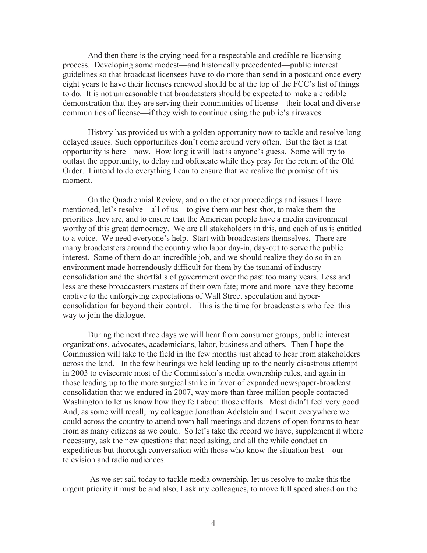And then there is the crying need for a respectable and credible re-licensing process. Developing some modest—and historically precedented—public interest guidelines so that broadcast licensees have to do more than send in a postcard once every eight years to have their licenses renewed should be at the top of the FCC's list of things to do. It is not unreasonable that broadcasters should be expected to make a credible demonstration that they are serving their communities of license—their local and diverse communities of license—if they wish to continue using the public's airwaves.

History has provided us with a golden opportunity now to tackle and resolve longdelayed issues. Such opportunities don't come around very often. But the fact is that opportunity is here—now. How long it will last is anyone's guess. Some will try to outlast the opportunity, to delay and obfuscate while they pray for the return of the Old Order. I intend to do everything I can to ensure that we realize the promise of this moment.

On the Quadrennial Review, and on the other proceedings and issues I have mentioned, let's resolve—all of us—to give them our best shot, to make them the priorities they are, and to ensure that the American people have a media environment worthy of this great democracy. We are all stakeholders in this, and each of us is entitled to a voice. We need everyone's help. Start with broadcasters themselves. There are many broadcasters around the country who labor day-in, day-out to serve the public interest. Some of them do an incredible job, and we should realize they do so in an environment made horrendously difficult for them by the tsunami of industry consolidation and the shortfalls of government over the past too many years. Less and less are these broadcasters masters of their own fate; more and more have they become captive to the unforgiving expectations of Wall Street speculation and hyperconsolidation far beyond their control. This is the time for broadcasters who feel this way to join the dialogue.

During the next three days we will hear from consumer groups, public interest organizations, advocates, academicians, labor, business and others. Then I hope the Commission will take to the field in the few months just ahead to hear from stakeholders across the land. In the few hearings we held leading up to the nearly disastrous attempt in 2003 to eviscerate most of the Commission's media ownership rules, and again in those leading up to the more surgical strike in favor of expanded newspaper-broadcast consolidation that we endured in 2007, way more than three million people contacted Washington to let us know how they felt about those efforts. Most didn't feel very good. And, as some will recall, my colleague Jonathan Adelstein and I went everywhere we could across the country to attend town hall meetings and dozens of open forums to hear from as many citizens as we could. So let's take the record we have, supplement it where necessary, ask the new questions that need asking, and all the while conduct an expeditious but thorough conversation with those who know the situation best—our television and radio audiences.

As we set sail today to tackle media ownership, let us resolve to make this the urgent priority it must be and also, I ask my colleagues, to move full speed ahead on the